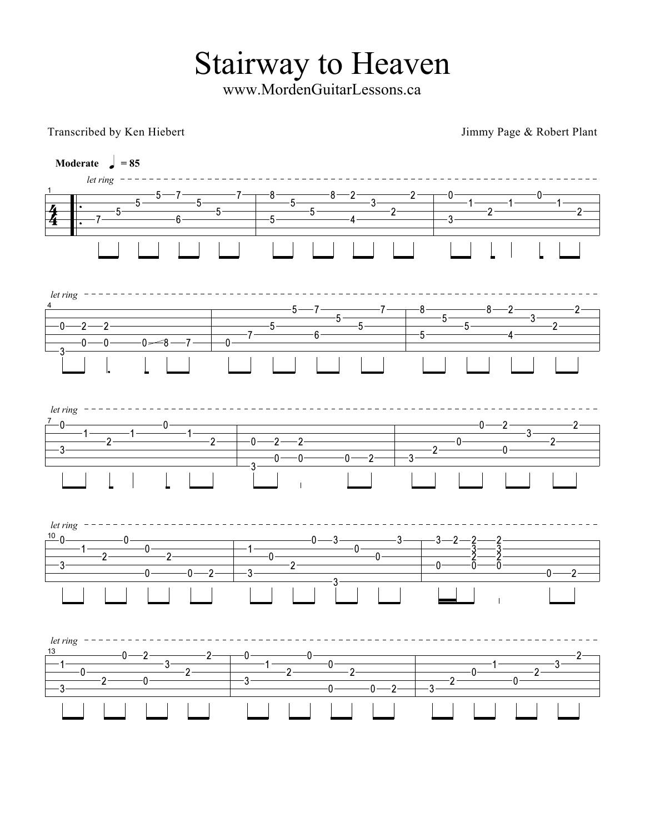**Stairway to Heaven** 

www.MordenGuitarLessons.ca

Transcribed by Ken Hiebert

Jimmy Page & Robert Plant